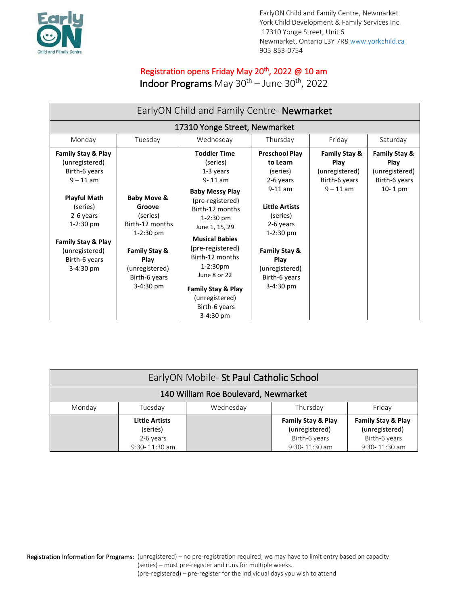

EarlyON Child and Family Centre, Newmarket York Child Development & Family Services Inc. 17310 Yonge Street, Unit 6 Newmarket, Ontario L3Y 7R8 [www.yorkchild.ca](http://www.yorkchild.ca/) 905-853-0754

## Registration opens Friday May 20<sup>th</sup>, 2022 @ 10 am

Indoor Programs May 30<sup>th</sup> – June 30<sup>th</sup>, 2022

| EarlyON Child and Family Centre- Newmarket                                                                                                                                                                  |                                                                                                                                                           |                                                                                                                                                                                                                                                                                                                                              |                                                                                                                                                                                                                   |                                                                         |                                                                     |
|-------------------------------------------------------------------------------------------------------------------------------------------------------------------------------------------------------------|-----------------------------------------------------------------------------------------------------------------------------------------------------------|----------------------------------------------------------------------------------------------------------------------------------------------------------------------------------------------------------------------------------------------------------------------------------------------------------------------------------------------|-------------------------------------------------------------------------------------------------------------------------------------------------------------------------------------------------------------------|-------------------------------------------------------------------------|---------------------------------------------------------------------|
| 17310 Yonge Street, Newmarket                                                                                                                                                                               |                                                                                                                                                           |                                                                                                                                                                                                                                                                                                                                              |                                                                                                                                                                                                                   |                                                                         |                                                                     |
| Monday                                                                                                                                                                                                      | Tuesday                                                                                                                                                   | Wednesday                                                                                                                                                                                                                                                                                                                                    | Thursday                                                                                                                                                                                                          | Friday                                                                  | Saturday                                                            |
| Family Stay & Play<br>(unregistered)<br>Birth-6 years<br>$9 - 11$ am<br><b>Playful Math</b><br>(series)<br>2-6 years<br>$1-2:30$ pm<br>Family Stay & Play<br>(unregistered)<br>Birth-6 years<br>$3-4:30$ pm | <b>Baby Move &amp;</b><br>Groove<br>(series)<br>Birth-12 months<br>$1-2:30$ pm<br>Family Stay &<br>Play<br>(unregistered)<br>Birth-6 years<br>$3-4:30$ pm | <b>Toddler Time</b><br>(series)<br>1-3 years<br>$9 - 11$ am<br><b>Baby Messy Play</b><br>(pre-registered)<br>Birth-12 months<br>$1-2:30$ pm<br>June 1, 15, 29<br><b>Musical Babies</b><br>(pre-registered)<br>Birth-12 months<br>$1-2:30pm$<br>June 8 or 22<br><b>Family Stay &amp; Play</b><br>(unregistered)<br>Birth-6 years<br>3-4:30 pm | <b>Preschool Play</b><br>to Learn<br>(series)<br>2-6 years<br>$9-11$ am<br><b>Little Artists</b><br>(series)<br>2-6 years<br>$1-2:30$ pm<br>Family Stay &<br>Play<br>(unregistered)<br>Birth-6 years<br>3-4:30 pm | Family Stay &<br>Play<br>(unregistered)<br>Birth-6 years<br>$9 - 11$ am | Family Stay &<br>Play<br>(unregistered)<br>Birth-6 years<br>10-1 pm |

| EarlyON Mobile- St Paul Catholic School |                                                                     |           |                                                                                   |                                                                        |  |  |
|-----------------------------------------|---------------------------------------------------------------------|-----------|-----------------------------------------------------------------------------------|------------------------------------------------------------------------|--|--|
| 140 William Roe Boulevard, Newmarket    |                                                                     |           |                                                                                   |                                                                        |  |  |
| Monday                                  | Tuesday                                                             | Wednesday | Thursday                                                                          | Friday                                                                 |  |  |
|                                         | <b>Little Artists</b><br>(series)<br>2-6 years<br>$9:30 - 11:30$ am |           | <b>Family Stay &amp; Play</b><br>(unregistered)<br>Birth-6 years<br>9:30-11:30 am | Family Stay & Play<br>(unregistered)<br>Birth-6 years<br>9:30-11:30 am |  |  |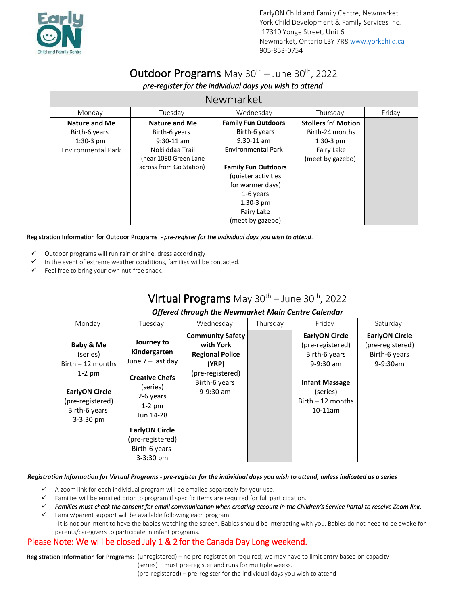

# Outdoor Programs May 30<sup>th</sup> – June 30<sup>th</sup>, 2022

| <b>Newmarket</b>                                                           |                                                                                                                              |                                                                                                                                                                                                                                 |                                                                                                |        |  |
|----------------------------------------------------------------------------|------------------------------------------------------------------------------------------------------------------------------|---------------------------------------------------------------------------------------------------------------------------------------------------------------------------------------------------------------------------------|------------------------------------------------------------------------------------------------|--------|--|
| Monday                                                                     | Tuesday                                                                                                                      | Wednesday                                                                                                                                                                                                                       | Thursday                                                                                       | Friday |  |
| <b>Nature and Me</b><br>Birth-6 years<br>$1:30-3$ pm<br>Environmental Park | <b>Nature and Me</b><br>Birth-6 years<br>$9:30-11$ am<br>Nokiiddaa Trail<br>(near 1080 Green Lane<br>across from Go Station) | <b>Family Fun Outdoors</b><br>Birth-6 years<br>$9:30-11$ am<br><b>Environmental Park</b><br><b>Family Fun Outdoors</b><br>(quieter activities<br>for warmer days)<br>1-6 years<br>$1:30-3$ pm<br>Fairy Lake<br>(meet by gazebo) | <b>Stollers 'n' Motion</b><br>Birth-24 months<br>$1:30-3$ pm<br>Fairy Lake<br>(meet by gazebo) |        |  |

#### Registration Information for Outdoor Programs - *pre-register for the individual days you wish to attend*.

- ✓ Outdoor programs will run rain or shine, dress accordingly
- In the event of extreme weather conditions, families will be contacted.
- Feel free to bring your own nut-free snack.

## Virtual Programs May  $30^{th}$  – June  $30^{th}$ , 2022

#### *Offered through the Newmarket Main Centre Calendar*

| Monday                                                                                                                                 | Tuesday                                                                                                                                                                                               | Wednesday                                                                                                                   | Thursday | Friday                                                                                                                                              | Saturday                                                               |
|----------------------------------------------------------------------------------------------------------------------------------------|-------------------------------------------------------------------------------------------------------------------------------------------------------------------------------------------------------|-----------------------------------------------------------------------------------------------------------------------------|----------|-----------------------------------------------------------------------------------------------------------------------------------------------------|------------------------------------------------------------------------|
| Baby & Me<br>(series)<br>Birth $-12$ months<br>$1-2$ pm<br><b>EarlyON Circle</b><br>(pre-registered)<br>Birth-6 years<br>$3 - 3:30$ pm | Journey to<br>Kindergarten<br>June 7 – last day<br><b>Creative Chefs</b><br>(series)<br>2-6 years<br>$1-2$ pm<br>Jun 14-28<br><b>EarlyON Circle</b><br>(pre-registered)<br>Birth-6 years<br>3-3:30 pm | <b>Community Safety</b><br>with York<br><b>Regional Police</b><br>(YRP)<br>(pre-registered)<br>Birth-6 years<br>$9-9:30$ am |          | <b>EarlyON Circle</b><br>(pre-registered)<br>Birth-6 years<br>$9-9:30$ am<br><b>Infant Massage</b><br>(series)<br>$Birth - 12$ months<br>$10-11$ am | <b>EarlyON Circle</b><br>(pre-registered)<br>Birth-6 years<br>9-9:30am |

#### *Registration Information for Virtual Programs - pre-register for the individual days you wish to attend, unless indicated as a series*

- $\checkmark$  A zoom link for each individual program will be emailed separately for your use.
- Families will be emailed prior to program if specific items are required for full participation.
- ✓ *Families must check the consent for email communication when creating account in the Children's Service Portal to receive Zoom link.*

✓ Family/parent support will be available following each program. It is not our intent to have the babies watching the screen. Babies should be interacting with you. Babies do not need to be awake for parents/caregivers to participate in infant programs.

### Please Note: We will be closed July 1 & 2 for the Canada Day Long weekend.

Registration Information for Programs: (unregistered) – no pre-registration required; we may have to limit entry based on capacity (series) – must pre-register and runs for multiple weeks. (pre-registered) – pre-register for the individual days you wish to attend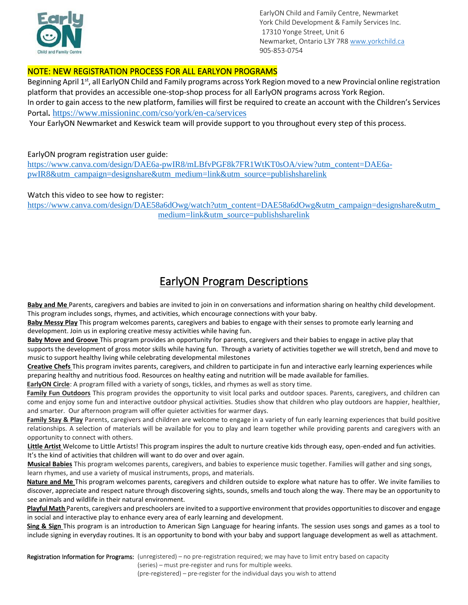

EarlyON Child and Family Centre, Newmarket York Child Development & Family Services Inc. 17310 Yonge Street, Unit 6 Newmarket, Ontario L3Y 7R8 [www.yorkchild.ca](http://www.yorkchild.ca/) 905-853-0754

### NOTE: NEW REGISTRATION PROCESS FOR ALL EARLYON PROGRAMS

Beginning April 1<sup>st</sup>, all EarlyON Child and Family programs across York Region moved to a new Provincial online registration platform that provides an accessible one-stop-shop process for all EarlyON programs across York Region. In order to gain access to the new platform, families will first be required to create an account with the Children's Services Portal**.** <https://www.missioninc.com/cso/york/en-ca/services>

Your EarlyON Newmarket and Keswick team will provide support to you throughout every step of this process.

#### EarlyON program registration user guide:

[https://www.canva.com/design/DAE6a-pwIR8/mLBfvPGF8k7FR1WtKT0sOA/view?utm\\_content=DAE6a](https://can01.safelinks.protection.outlook.com/?url=https%3A%2F%2Fwww.canva.com%2Fdesign%2FDAE6a-pwIR8%2FmLBfvPGF8k7FR1WtKT0sOA%2Fview%3Futm_content%3DDAE6a-pwIR8%26utm_campaign%3Ddesignshare%26utm_medium%3Dlink%26utm_source%3Dpublishsharelink&data=04%7C01%7Clchapman%40yorkchild.ca%7Cc2e0b60f63ad43b9aa6508da0cfbf864%7C4b36106cea324aba99c1f8ef65aa3af8%7C0%7C0%7C637836573786361761%7CUnknown%7CTWFpbGZsb3d8eyJWIjoiMC4wLjAwMDAiLCJQIjoiV2luMzIiLCJBTiI6Ik1haWwiLCJXVCI6Mn0%3D%7C3000&sdata=N661V87aIvEre5Ftuy4sUllwQezcT2oppMeQc%2Fo6244%3D&reserved=0)[pwIR8&utm\\_campaign=designshare&utm\\_medium=link&utm\\_source=publishsharelink](https://can01.safelinks.protection.outlook.com/?url=https%3A%2F%2Fwww.canva.com%2Fdesign%2FDAE6a-pwIR8%2FmLBfvPGF8k7FR1WtKT0sOA%2Fview%3Futm_content%3DDAE6a-pwIR8%26utm_campaign%3Ddesignshare%26utm_medium%3Dlink%26utm_source%3Dpublishsharelink&data=04%7C01%7Clchapman%40yorkchild.ca%7Cc2e0b60f63ad43b9aa6508da0cfbf864%7C4b36106cea324aba99c1f8ef65aa3af8%7C0%7C0%7C637836573786361761%7CUnknown%7CTWFpbGZsb3d8eyJWIjoiMC4wLjAwMDAiLCJQIjoiV2luMzIiLCJBTiI6Ik1haWwiLCJXVCI6Mn0%3D%7C3000&sdata=N661V87aIvEre5Ftuy4sUllwQezcT2oppMeQc%2Fo6244%3D&reserved=0)

#### Watch this video to see how to register:

https://www.canva.com/design/DAE58a6dOwg/watch?utm\_content=DAE58a6dOwg&utm\_campaign=designshare&utm [medium=link&utm\\_source=publishsharelink](https://can01.safelinks.protection.outlook.com/?url=https%3A%2F%2Fwww.canva.com%2Fdesign%2FDAE58a6dOwg%2Fwatch%3Futm_content%3DDAE58a6dOwg%26utm_campaign%3Ddesignshare%26utm_medium%3Dlink%26utm_source%3Dpublishsharelink&data=04%7C01%7Clchapman%40yorkchild.ca%7Cc2e0b60f63ad43b9aa6508da0cfbf864%7C4b36106cea324aba99c1f8ef65aa3af8%7C0%7C0%7C637836573786361761%7CUnknown%7CTWFpbGZsb3d8eyJWIjoiMC4wLjAwMDAiLCJQIjoiV2luMzIiLCJBTiI6Ik1haWwiLCJXVCI6Mn0%3D%7C3000&sdata=E92uEvrFe7FAzongvZO1vC03VGMg3OY2yfTZXyKSGMI%3D&reserved=0)

## EarlyON Program Descriptions

**Baby and Me** Parents, caregivers and babies are invited to join in on conversations and information sharing on healthy child development. This program includes songs, rhymes, and activities, which encourage connections with your baby.

**Baby Messy Play** This program welcomes parents, caregivers and babies to engage with their senses to promote early learning and development. Join us in exploring creative messy activities while having fun.

**Baby Move and Groove** This program provides an opportunity for parents, caregivers and their babies to engage in active play that supports the development of gross motor skills while having fun. Through a variety of activities together we will stretch, bend and move to music to support healthy living while celebrating developmental milestones

**Creative Chefs** This program invites parents, caregivers, and children to participate in fun and interactive early learning experiences while preparing healthy and nutritious food. Resources on healthy eating and nutrition will be made available for families.

**EarlyON Circle**: A program filled with a variety of songs, tickles, and rhymes as well as story time.

**Family Fun Outdoors** This program provides the opportunity to visit local parks and outdoor spaces. Parents, caregivers, and children can come and enjoy some fun and interactive outdoor physical activities. Studies show that children who play outdoors are happier, healthier, and smarter. Our afternoon program will offer quieter activities for warmer days.

Family Stay & Play Parents, caregivers and children are welcome to engage in a variety of fun early learning experiences that build positive relationships. A selection of materials will be available for you to play and learn together while providing parents and caregivers with an opportunity to connect with others.

**Little Artist** Welcome to Little Artists! This program inspires the adult to nurture creative kids through easy, open-ended and fun activities. It's the kind of activities that children will want to do over and over again.

**Musical Babies** This program welcomes parents, caregivers, and babies to experience music together. Families will gather and sing songs, learn rhymes, and use a variety of musical instruments, props, and materials.

**Nature and Me** This program welcomes parents, caregivers and children outside to explore what nature has to offer. We invite families to discover, appreciate and respect nature through discovering sights, sounds, smells and touch along the way. There may be an opportunity to see animals and wildlife in their natural environment.

**Playful Math** Parents, caregivers and preschoolers are invited to a supportive environment that provides opportunities to discover and engage in social and interactive play to enhance every area of early learning and development.

**Sing & Sign** This program is an introduction to American Sign Language for hearing infants. The session uses songs and games as a tool to include signing in everyday routines. It is an opportunity to bond with your baby and support language development as well as attachment.